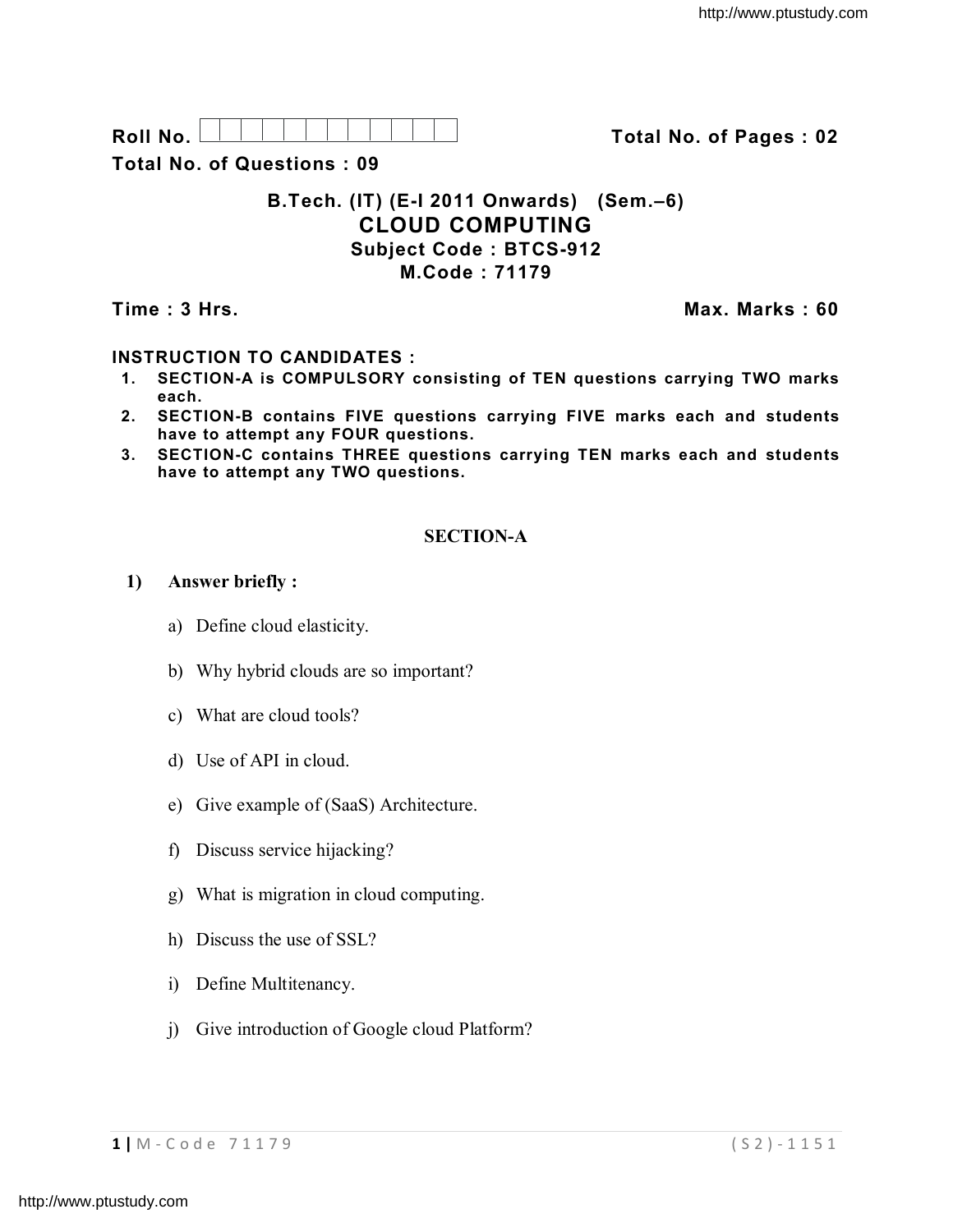**Roll No. Total No. of Pages : 02**

**Total No. of Questions : 09**

## **B.Tech. (IT) (E-I 2011 Onwards) (Sem.–6) CLOUD COMPUTING Subject Code : BTCS-912 M.Code : 71179**

**Time : 3 Hrs. Max. Marks : 60**

## **INSTRUCTION TO CANDIDATES :**

- **1. SECTION-A is COMPULSORY consisting of TEN questions carrying TWO marks each.**
- **2. SECTION-B contains FIVE questions carrying FIVE marks each and students have to attempt any FOUR questions.**
- **3. SECTION-C contains THREE questions carrying TEN marks each and students have to attempt any TWO questions.**

# **SECTION-A**

## **1) Answer briefly :**

- a) Define cloud elasticity.
- b) Why hybrid clouds are so important?
- c) What are cloud tools?
- d) Use of API in cloud.
- e) Give example of (SaaS) Architecture.
- f) Discuss service hijacking?
- g) What is migration in cloud computing.
- h) Discuss the use of SSL?
- i) Define Multitenancy.
- j) Give introduction of Google cloud Platform?